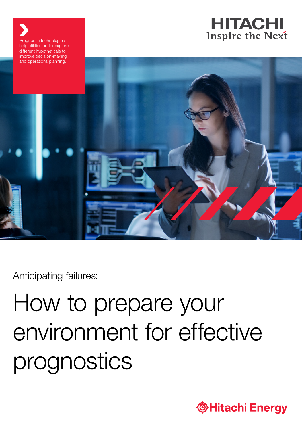



Anticipating failures:

Prognostic technologies

# How to prepare your environment for effective prognostics

**Thitachi Energy**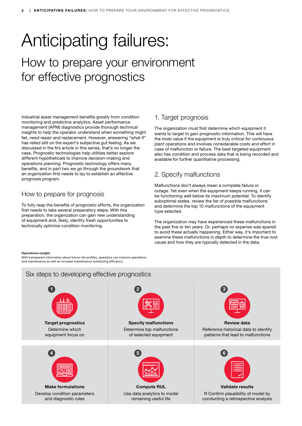## Anticipating failures:

### How to prepare your environment for effective prognostics

Industrial asset management benefits greatly from condition monitoring and predictive analytics. Asset performance management (APM) diagnostics provide thorough technical insights to help the operator understand when something might fail, need repair and replacement. However, answering "what if" has relied still on the expert's subjective gut feeling. As we discussed in the firs article in this series, that's no longer the case. Prognostic technologies help utilities better explore different hypotheticals to improve decision-making and operations planning. Prognostic technology offers many benefits, and in part two we go through the groundwork that an organization first needs to lay to establish an effective prognosis program.

#### How to prepare for prognosis

To fully reap the benefits of prognostic efforts, the organization first needs to take several preparatory steps. With this preparation, the organization can gain new understanding of equipment and, likely, identify fresh opportunities to technically optimize condition monitoring.

#### 1. Target prognosis

The organization must first determine which equipment it wants to target to gain prognostic information. This will have the most value if the equipment is truly critical for continuous plant operations and involves considerable costs and effort in case of malfunction or failure. The best targeted equipment also has condition and process data that is being recorded and available for further quantitative processing.

#### 2. Specify malfunctions

Malfunctions don't always mean a complete failure or outage. Yet even when the equipment keeps running, if can be functioning well below its maximum potential. To identify suboptimal states, review the list of possible malfunctions and determine the top 10 malfunctions of the equipment type selected.

The organization may have experienced these malfunctions in the past five or ten years. Or, perhaps no expense was spared to avoid these actually happening. Either way, it's important to examine these malfunctions in depth to determine the true root cause and how they are typically detected in the data.

#### Operations insight.

With transparent information about future risk profiles, operators can improve operations and maintenance as well as increase maintenance scheduling efficiency.

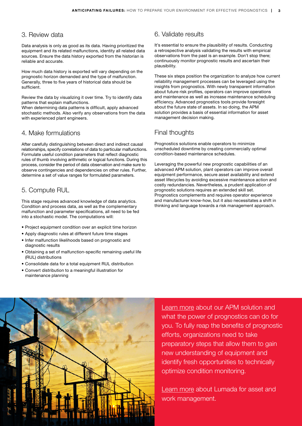#### 3. Review data

Data analysis is only as good as its data. Having prioritized the equipment and its related malfunctions, identity all related data sources. Ensure the data history exported from the historian is reliable and accurate.

How much data history is exported will vary depending on the prognostic horizon demanded and the type of malfunction. Generally, three to five years of historical data should be sufficient.

Review the data by visualizing it over time. Try to identify data patterns that explain malfunctions.

When determining data patterns is difficult, apply advanced stochastic methods. Also verify any observations from the data with experienced plant engineers.

#### 4. Make formulations

After carefully distinguishing between direct and indirect causal relationships, specify correlations of data to particular malfunctions. Formulate useful condition parameters that reflect diagnostic rules of thumb involving arithmetic or logical functions. During this process, consider the period of data observation and make sure to observe contingencies and dependencies on other rules. Further, determine a set of value ranges for formulated parameters.

#### 5. Compute RUL

This stage requires advanced knowledge of data analytics. Condition and process data, as well as the complementary malfunction and parameter specifications, all need to be fed into a stochastic model. The computations will:

- Project equipment condition over an explicit time horizon
- Apply diagnostic rules at different future time stages
- Infer malfunction likelihoods based on prognostic and diagnostic results
- Obtaining a set of malfunction-specific remaining useful life (RUL) distributions
- Consolidate data for a total equipment RUL distribution
- Convert distribution to a meaningful illustration for maintenance planning

#### 6. Validate results

It's essential to ensure the plausibility of results. Conducting a retrospective analysis validating the results with empirical observations from the past is an example. Don't stop there; continuously monitor prognostic results and ascertain their plausibility.

These six steps position the organization to analyze how current reliability management processes can be leveraged using the insights from prognostics. With newly transparent information about future risk profiles, operators can improve operations and maintenance as well as increase maintenance scheduling efficiency. Advanced prognostics tools provide foresight about the future state of assets. In so doing, the APM solution provides a basis of essential information for asset management decision making.

#### Final thoughts

Prognostics solutions enable operators to minimize unscheduled downtime by creating commercially optimal condition-based maintenance schedules.

Leveraging the powerful new prognostic capabilities of an advanced APM solution, plant operators can improve overall equipment performance, secure asset availability and extend asset lifecycles by avoiding excessive maintenance action and costly redundancies. Nevertheless, a prudent application of prognostic solutions requires an extended skill set. Prognostics complements and requires operator experience and manufacturer know-how, but it also necessitates a shift in thinking and language towards a risk management approach.



[Learn more](https://www.hitachienergy.com/offering/solutions/asset-and-work-management/lumada-apm) about our APM solution and what the power of prognostics can do for you. To fully reap the benefits of prognostic efforts, organizations need to take preparatory steps that allow them to gain new understanding of equipment and identify fresh opportunities to technically optimize condition monitoring.

[Learn more](https://www.hitachienergy.com/offering/solutions/asset-and-work-management) about Lumada for asset and work management.